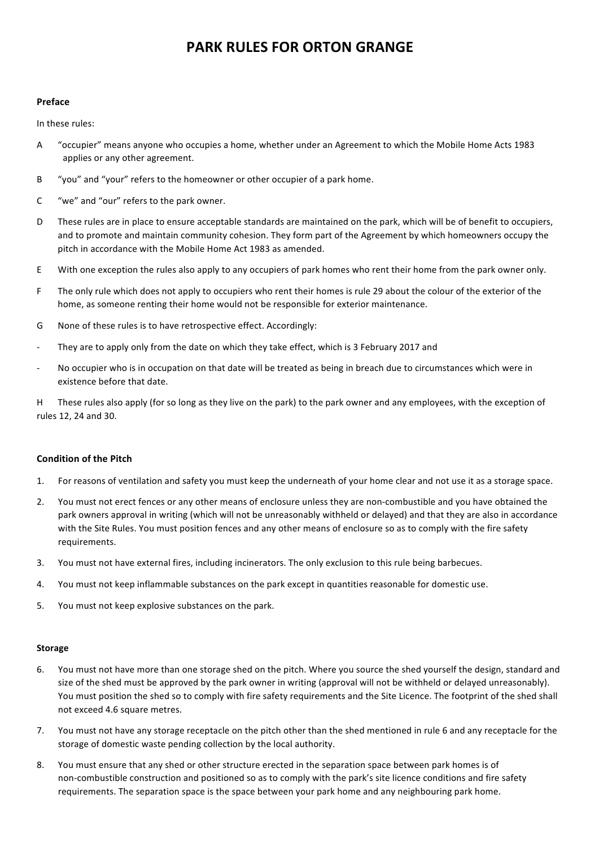# **PARK RULES FOR ORTON GRANGE**

# **Preface**

In these rules:

- A "occupier" means anyone who occupies a home, whether under an Agreement to which the Mobile Home Acts 1983 applies or any other agreement.
- B "you" and "your" refers to the homeowner or other occupier of a park home.
- C "we" and "our" refers to the park owner.
- D These rules are in place to ensure acceptable standards are maintained on the park, which will be of benefit to occupiers, and to promote and maintain community cohesion. They form part of the Agreement by which homeowners occupy the pitch in accordance with the Mobile Home Act 1983 as amended.
- E With one exception the rules also apply to any occupiers of park homes who rent their home from the park owner only.
- F The only rule which does not apply to occupiers who rent their homes is rule 29 about the colour of the exterior of the home, as someone renting their home would not be responsible for exterior maintenance.
- G None of these rules is to have retrospective effect. Accordingly:
- They are to apply only from the date on which they take effect, which is 3 February 2017 and
- No occupier who is in occupation on that date will be treated as being in breach due to circumstances which were in existence before that date.

H These rules also apply (for so long as they live on the park) to the park owner and any employees, with the exception of rules 12, 24 and 30.

# **Condition of the Pitch**

- 1. For reasons of ventilation and safety you must keep the underneath of your home clear and not use it as a storage space.
- 2. You must not erect fences or any other means of enclosure unless they are non-combustible and you have obtained the park owners approval in writing (which will not be unreasonably withheld or delayed) and that they are also in accordance with the Site Rules. You must position fences and any other means of enclosure so as to comply with the fire safety requirements.
- 3. You must not have external fires, including incinerators. The only exclusion to this rule being barbecues.
- 4. You must not keep inflammable substances on the park except in quantities reasonable for domestic use.
- 5. You must not keep explosive substances on the park.

# **Storage**

- 6. You must not have more than one storage shed on the pitch. Where you source the shed yourself the design, standard and size of the shed must be approved by the park owner in writing (approval will not be withheld or delayed unreasonably). You must position the shed so to comply with fire safety requirements and the Site Licence. The footprint of the shed shall not exceed 4.6 square metres.
- 7. You must not have any storage receptacle on the pitch other than the shed mentioned in rule 6 and any receptacle for the storage of domestic waste pending collection by the local authority.
- 8. You must ensure that any shed or other structure erected in the separation space between park homes is of non-combustible construction and positioned so as to comply with the park's site licence conditions and fire safety requirements. The separation space is the space between your park home and any neighbouring park home.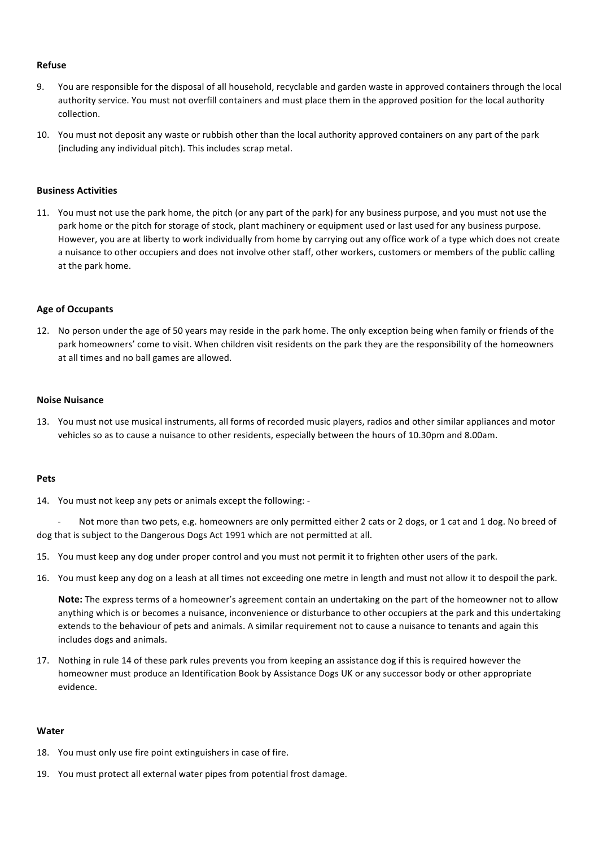## **Refuse**

- 9. You are responsible for the disposal of all household, recyclable and garden waste in approved containers through the local authority service. You must not overfill containers and must place them in the approved position for the local authority collection.
- 10. You must not deposit any waste or rubbish other than the local authority approved containers on any part of the park (including any individual pitch). This includes scrap metal.

### **Business Activities**

11. You must not use the park home, the pitch (or any part of the park) for any business purpose, and you must not use the park home or the pitch for storage of stock, plant machinery or equipment used or last used for any business purpose. However, you are at liberty to work individually from home by carrying out any office work of a type which does not create a nuisance to other occupiers and does not involve other staff, other workers, customers or members of the public calling at the park home.

#### **Age of Occupants**

12. No person under the age of 50 years may reside in the park home. The only exception being when family or friends of the park homeowners' come to visit. When children visit residents on the park they are the responsibility of the homeowners at all times and no ball games are allowed.

#### **Noise Nuisance**

13. You must not use musical instruments, all forms of recorded music players, radios and other similar appliances and motor vehicles so as to cause a nuisance to other residents, especially between the hours of 10.30pm and 8.00am.

#### **Pets**

14. You must not keep any pets or animals except the following: -

Not more than two pets, e.g. homeowners are only permitted either 2 cats or 2 dogs, or 1 cat and 1 dog. No breed of dog that is subject to the Dangerous Dogs Act 1991 which are not permitted at all.

- 15. You must keep any dog under proper control and you must not permit it to frighten other users of the park.
- 16. You must keep any dog on a leash at all times not exceeding one metre in length and must not allow it to despoil the park.

**Note:** The express terms of a homeowner's agreement contain an undertaking on the part of the homeowner not to allow anything which is or becomes a nuisance, inconvenience or disturbance to other occupiers at the park and this undertaking extends to the behaviour of pets and animals. A similar requirement not to cause a nuisance to tenants and again this includes dogs and animals.

17. Nothing in rule 14 of these park rules prevents you from keeping an assistance dog if this is required however the homeowner must produce an Identification Book by Assistance Dogs UK or any successor body or other appropriate evidence.

#### **Water**

- 18. You must only use fire point extinguishers in case of fire.
- 19. You must protect all external water pipes from potential frost damage.